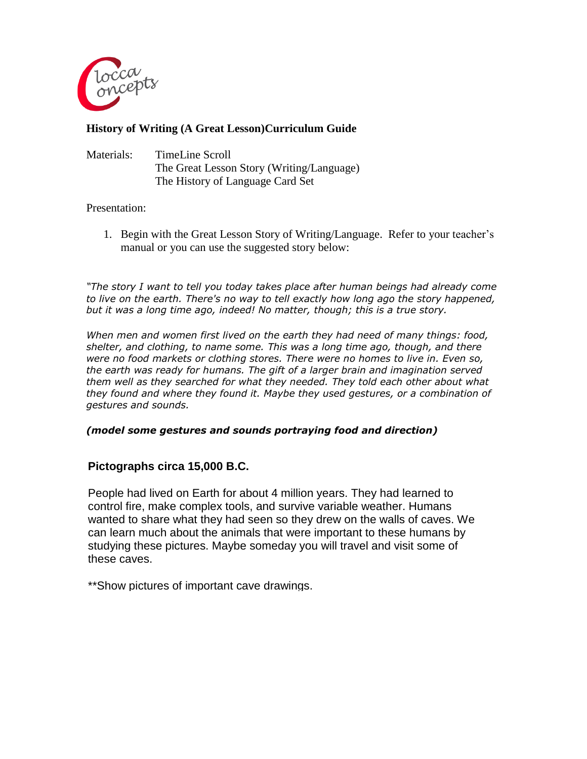

## **History of Writing (A Great Lesson)Curriculum Guide**

| Materials: | TimeLine Scroll                           |
|------------|-------------------------------------------|
|            | The Great Lesson Story (Writing/Language) |
|            | The History of Language Card Set          |

#### Presentation:

1. Begin with the Great Lesson Story of Writing/Language. Refer to your teacher's manual or you can use the suggested story below:

*"The story I want to tell you today takes place after human beings had already come to live on the earth. There's no way to tell exactly how long ago the story happened, but it was a long time ago, indeed! No matter, though; this is a true story.*

*When men and women first lived on the earth they had need of many things: food, shelter, and clothing, to name some. This was a long time ago, though, and there were no food markets or clothing stores. There were no homes to live in. Even so, the earth was ready for humans. The gift of a larger brain and imagination served them well as they searched for what they needed. They told each other about what they found and where they found it. Maybe they used gestures, or a combination of gestures and sounds.*

### *(model some gestures and sounds portraying food and direction)*

### **Pictographs circa 15,000 B.C.**

People had lived on Earth for about 4 million years. They had learned to control fire, make complex tools, and survive variable weather. Humans wanted to share what they had seen so they drew on the walls of caves. We can learn much about the animals that were important to these humans by studying these pictures. Maybe someday you will travel and visit some of these caves.

\*\*Show pictures of important cave drawings.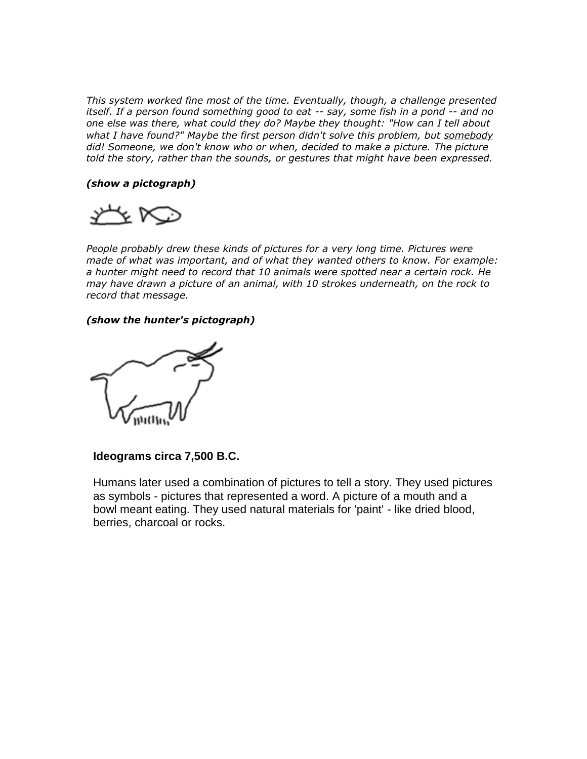*This system worked fine most of the time. Eventually, though, a challenge presented itself. If a person found something good to eat -- say, some fish in a pond -- and no one else was there, what could they do? Maybe they thought: "How can I tell about what I have found?" Maybe the first person didn't solve this problem, but somebody did! Someone, we don't know who or when, decided to make a picture. The picture told the story, rather than the sounds, or gestures that might have been expressed.*

#### *(show a pictograph)*



People probably drew these kinds of pictures for a very long time. Pictures were *made of what was important, and of what they wanted others to know. For example: a hunter might need to record that 10 animals were spotted near a certain rock. He may have drawn a picture of an animal, with 10 strokes underneath, on the rock to record that message.*

#### *(show the hunter's pictograph)*



### **Ideograms circa 7,500 B.C.**

Humans later used a combination of pictures to tell a story. They used pictures as symbols - pictures that represented a word. A picture of a mouth and a bowl meant eating. They used natural materials for 'paint' - like dried blood, berries, charcoal or rocks.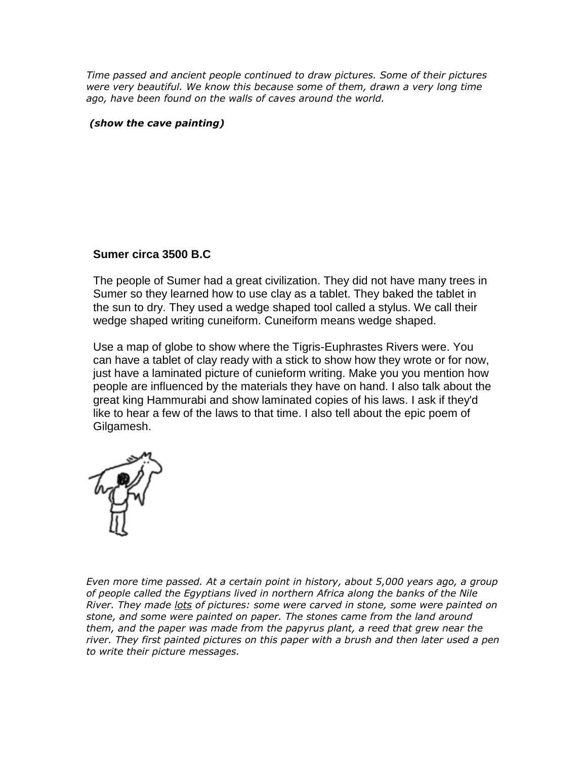*Time passed and ancient people continued to draw pictures. Some of their pictures were very beautiful. We know this because some of them, drawn a very long time ago, have been found on the walls of caves around the world.*

### *(show the cave painting)*

### **Sumer circa 3500 B.C**

The people of Sumer had a great civilization. They did not have many trees in Sumer so they learned how to use clay as a tablet. They baked the tablet in the sun to dry. They used a wedge shaped tool called a stylus. We call their wedge shaped writing cuneiform. Cuneiform means wedge shaped.

Use a map of globe to show where the Tigris-Euphrastes Rivers were. You can have a tablet of clay ready with a stick to show how they wrote or for now, just have a laminated picture of cunieform writing. Make you you mention how people are influenced by the materials they have on hand. I also talk about the great king Hammurabi and show laminated copies of his laws. I ask if they'd like to hear a few of the laws to that time. I also tell about the epic poem of Gilgamesh.



*Even more time passed. At a certain point in history, about 5,000 years ago, a group of people called the Egyptians lived in northern Africa along the banks of the Nile River. They made lots of pictures: some were carved in stone, some were painted on stone, and some were painted on paper. The stones came from the land around them, and the paper was made from the papyrus plant, a reed that grew near the river. They first painted pictures on this paper with a brush and then later used a pen to write their picture messages.*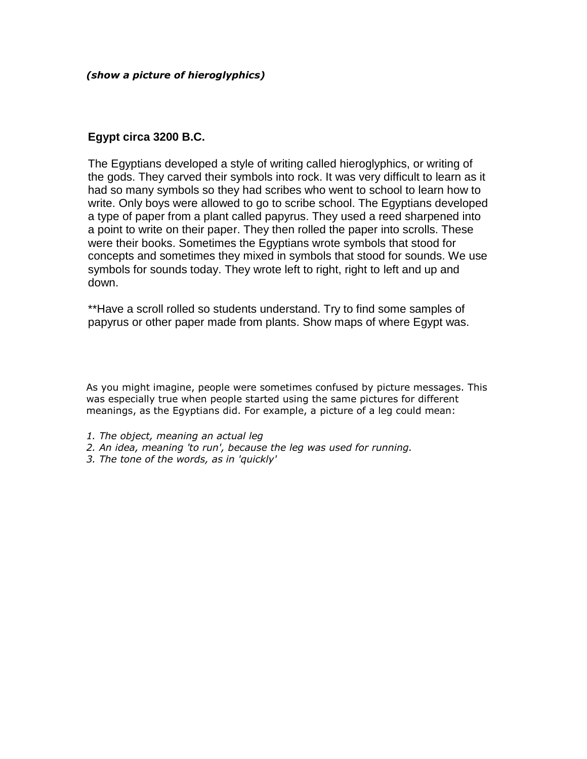*(show a picture of hieroglyphics)*

## **Egypt circa 3200 B.C.**

The Egyptians developed a style of writing called hieroglyphics, or writing of the gods. They carved their symbols into rock. It was very difficult to learn as it had so many symbols so they had scribes who went to school to learn how to write. Only boys were allowed to go to scribe school. The Egyptians developed a type of paper from a plant called papyrus. They used a reed sharpened into a point to write on their paper. They then rolled the paper into scrolls. These were their books. Sometimes the Egyptians wrote symbols that stood for concepts and sometimes they mixed in symbols that stood for sounds. We use symbols for sounds today. They wrote left to right, right to left and up and down.

\*\*Have a scroll rolled so students understand. Try to find some samples of papyrus or other paper made from plants. Show maps of where Egypt was.

As you might imagine, people were sometimes confused by picture messages. This was especially true when people started using the same pictures for different meanings, as the Egyptians did. For example, a picture of a leg could mean:

- *1. The object, meaning an actual leg*
- *2. An idea, meaning 'to run', because the leg was used for running.*
- *3. The tone of the words, as in 'quickly'*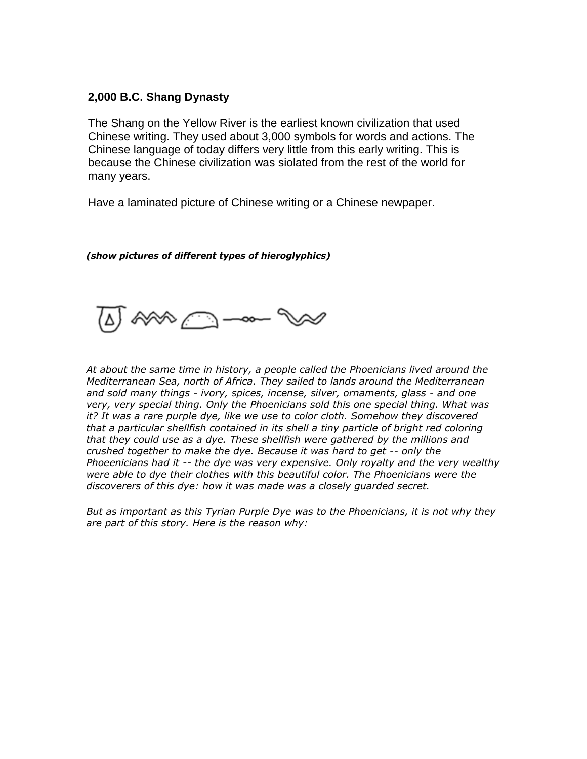# **2,000 B.C. Shang Dynasty**

The Shang on the Yellow River is the earliest known civilization that used Chinese writing. They used about 3,000 symbols for words and actions. The Chinese language of today differs very little from this early writing. This is because the Chinese civilization was siolated from the rest of the world for many years.

Have a laminated picture of Chinese writing or a Chinese newpaper.

*(show pictures of different types of hieroglyphics)*

*At about the same time in history, a people called the Phoenicians lived around the Mediterranean Sea, north of Africa. They sailed to lands around the Mediterranean and sold many things - ivory, spices, incense, silver, ornaments, glass - and one very, very special thing. Only the Phoenicians sold this one special thing. What was it? It was a rare purple dye, like we use to color cloth. Somehow they discovered that a particular shellfish contained in its shell a tiny particle of bright red coloring that they could use as a dye. These shellfish were gathered by the millions and crushed together to make the dye. Because it was hard to get -- only the Phoeenicians had it -- the dye was very expensive. Only royalty and the very wealthy were able to dye their clothes with this beautiful color. The Phoenicians were the discoverers of this dye: how it was made was a closely guarded secret.*

*But as important as this Tyrian Purple Dye was to the Phoenicians, it is not why they are part of this story. Here is the reason why:*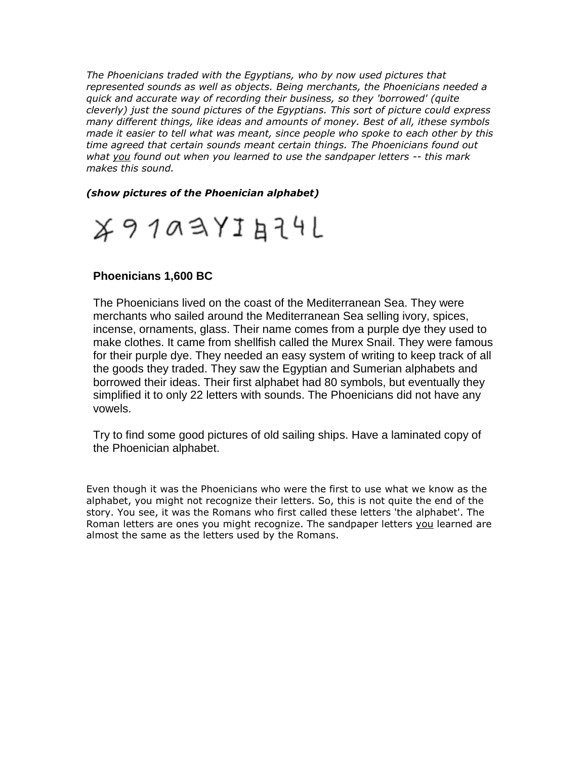*The Phoenicians traded with the Egyptians, who by now used pictures that represented sounds as well as objects. Being merchants, the Phoenicians needed a quick and accurate way of recording their business, so they 'borrowed' (quite cleverly) just the sound pictures of the Egyptians. This sort of picture could express many different things, like ideas and amounts of money. Best of all, ithese symbols made it easier to tell what was meant, since people who spoke to each other by this time agreed that certain sounds meant certain things. The Phoenicians found out what you found out when you learned to use the sandpaper letters -- this mark makes this sound.*

*(show pictures of the Phoenician alphabet)*



# **Phoenicians 1,600 BC**

The Phoenicians lived on the coast of the Mediterranean Sea. They were merchants who sailed around the Mediterranean Sea selling ivory, spices, incense, ornaments, glass. Their name comes from a purple dye they used to make clothes. It came from shellfish called the Murex Snail. They were famous for their purple dye. They needed an easy system of writing to keep track of all the goods they traded. They saw the Egyptian and Sumerian alphabets and borrowed their ideas. Their first alphabet had 80 symbols, but eventually they simplified it to only 22 letters with sounds. The Phoenicians did not have any vowels.

Try to find some good pictures of old sailing ships. Have a laminated copy of the Phoenician alphabet.

Even though it was the Phoenicians who were the first to use what we know as the alphabet, you might not recognize their letters. So, this is not quite the end of the story. You see, it was the Romans who first called these letters 'the alphabet'. The Roman letters are ones you might recognize. The sandpaper letters you learned are almost the same as the letters used by the Romans.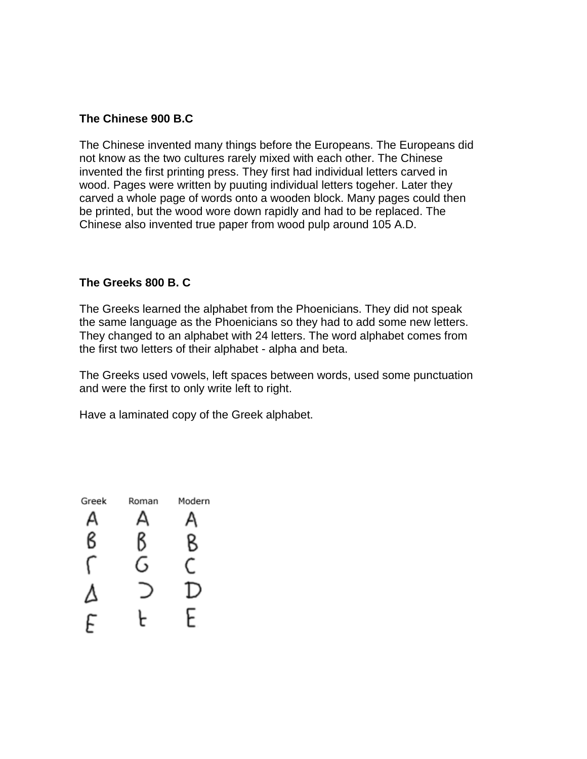## **The Chinese 900 B.C**

The Chinese invented many things before the Europeans. The Europeans did not know as the two cultures rarely mixed with each other. The Chinese invented the first printing press. They first had individual letters carved in wood. Pages were written by puuting individual letters togeher. Later they carved a whole page of words onto a wooden block. Many pages could then be printed, but the wood wore down rapidly and had to be replaced. The Chinese also invented true paper from wood pulp around 105 A.D.

### **The Greeks 800 B. C**

The Greeks learned the alphabet from the Phoenicians. They did not speak the same language as the Phoenicians so they had to add some new letters. They changed to an alphabet with 24 letters. The word alphabet comes from the first two letters of their alphabet - alpha and beta.

The Greeks used vowels, left spaces between words, used some punctuation and were the first to only write left to right.

Have a laminated copy of the Greek alphabet.

| Greek | Roman | Modern |
|-------|-------|--------|
|       |       |        |
|       |       |        |
|       |       |        |
|       |       |        |
|       |       |        |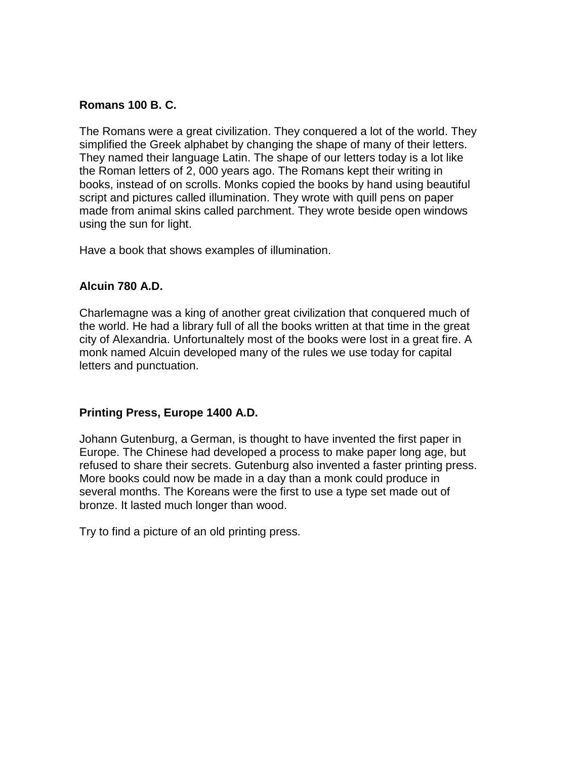## **Romans 100 B. C.**

The Romans were a great civilization. They conquered a lot of the world. They simplified the Greek alphabet by changing the shape of many of their letters. They named their language Latin. The shape of our letters today is a lot like the Roman letters of 2, 000 years ago. The Romans kept their writing in books, instead of on scrolls. Monks copied the books by hand using beautiful script and pictures called illumination. They wrote with quill pens on paper made from animal skins called parchment. They wrote beside open windows using the sun for light.

Have a book that shows examples of illumination.

# **Alcuin 780 A.D.**

Charlemagne was a king of another great civilization that conquered much of the world. He had a library full of all the books written at that time in the great city of Alexandria. Unfortunaltely most of the books were lost in a great fire. A monk named Alcuin developed many of the rules we use today for capital letters and punctuation.

## **Printing Press, Europe 1400 A.D.**

Johann Gutenburg, a German, is thought to have invented the first paper in Europe. The Chinese had developed a process to make paper long age, but refused to share their secrets. Gutenburg also invented a faster printing press. More books could now be made in a day than a monk could produce in several months. The Koreans were the first to use a type set made out of bronze. It lasted much longer than wood.

Try to find a picture of an old printing press.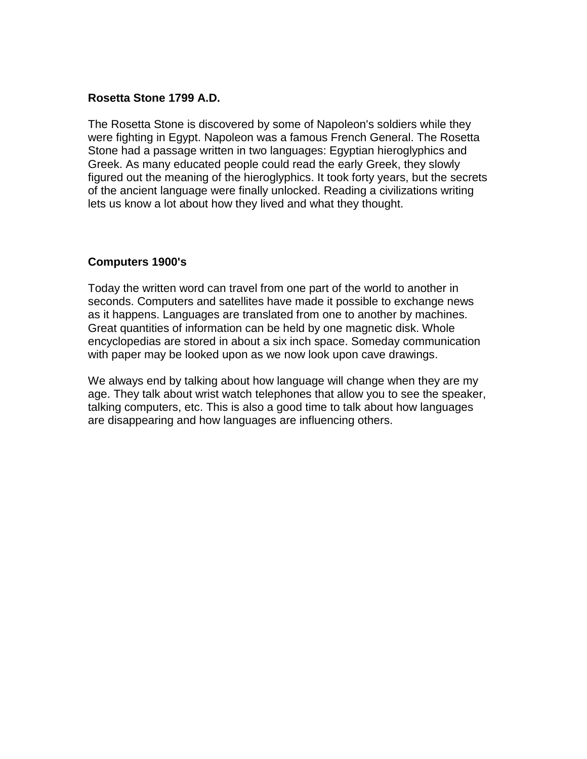## **Rosetta Stone 1799 A.D.**

The Rosetta Stone is discovered by some of Napoleon's soldiers while they were fighting in Egypt. Napoleon was a famous French General. The Rosetta Stone had a passage written in two languages: Egyptian hieroglyphics and Greek. As many educated people could read the early Greek, they slowly figured out the meaning of the hieroglyphics. It took forty years, but the secrets of the ancient language were finally unlocked. Reading a civilizations writing lets us know a lot about how they lived and what they thought.

## **Computers 1900's**

Today the written word can travel from one part of the world to another in seconds. Computers and satellites have made it possible to exchange news as it happens. Languages are translated from one to another by machines. Great quantities of information can be held by one magnetic disk. Whole encyclopedias are stored in about a six inch space. Someday communication with paper may be looked upon as we now look upon cave drawings.

We always end by talking about how language will change when they are my age. They talk about wrist watch telephones that allow you to see the speaker, talking computers, etc. This is also a good time to talk about how languages are disappearing and how languages are influencing others.